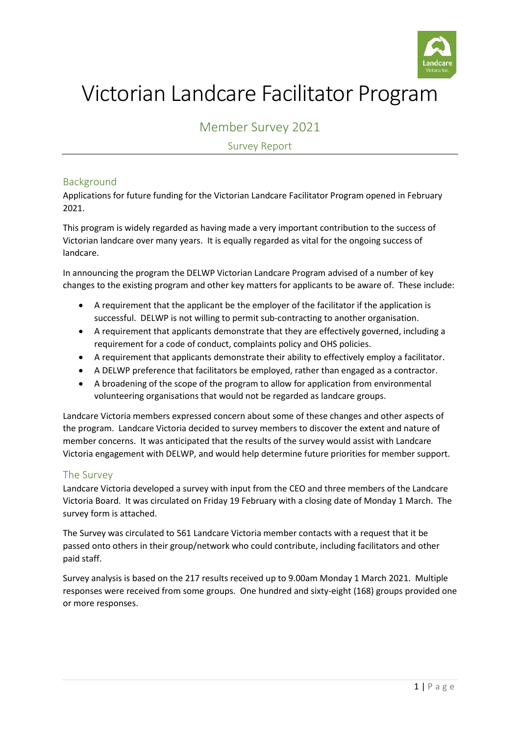

# Victorian Landcare Facilitator Program

Member Survey 2021

Survey Report

## Background

Applications for future funding for the Victorian Landcare Facilitator Program opened in February 2021.

This program is widely regarded as having made a very important contribution to the success of Victorian landcare over many years. It is equally regarded as vital for the ongoing success of landcare.

In announcing the program the DELWP Victorian Landcare Program advised of a number of key changes to the existing program and other key matters for applicants to be aware of. These include:

- A requirement that the applicant be the employer of the facilitator if the application is successful. DELWP is not willing to permit sub-contracting to another organisation.
- A requirement that applicants demonstrate that they are effectively governed, including a requirement for a code of conduct, complaints policy and OHS policies.
- A requirement that applicants demonstrate their ability to effectively employ a facilitator.
- A DELWP preference that facilitators be employed, rather than engaged as a contractor.
- A broadening of the scope of the program to allow for application from environmental volunteering organisations that would not be regarded as landcare groups.

Landcare Victoria members expressed concern about some of these changes and other aspects of the program. Landcare Victoria decided to survey members to discover the extent and nature of member concerns. It was anticipated that the results of the survey would assist with Landcare Victoria engagement with DELWP, and would help determine future priorities for member support.

### The Survey

Landcare Victoria developed a survey with input from the CEO and three members of the Landcare Victoria Board. It was circulated on Friday 19 February with a closing date of Monday 1 March. The survey form is attached.

The Survey was circulated to 561 Landcare Victoria member contacts with a request that it be passed onto others in their group/network who could contribute, including facilitators and other paid staff.

Survey analysis is based on the 217 results received up to 9.00am Monday 1 March 2021. Multiple responses were received from some groups. One hundred and sixty-eight (168) groups provided one or more responses.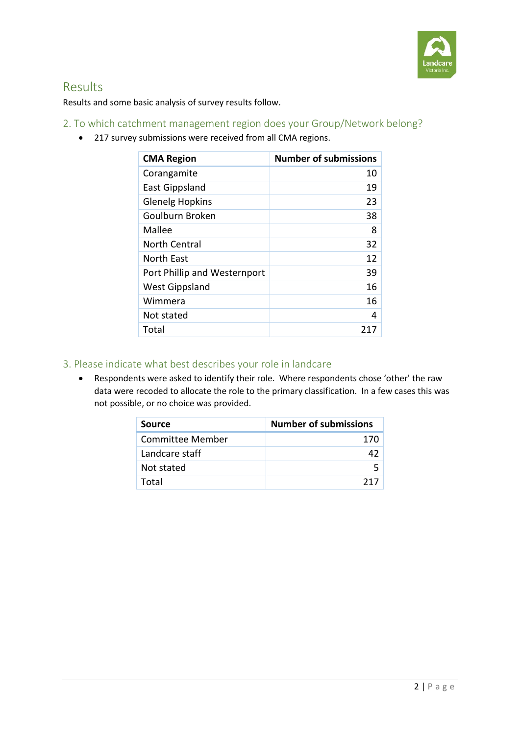

# Results

Results and some basic analysis of survey results follow.

# 2. To which catchment management region does your Group/Network belong?

217 survey submissions were received from all CMA regions.

| <b>CMA Region</b>            | <b>Number of submissions</b> |
|------------------------------|------------------------------|
| Corangamite                  | 10                           |
| <b>East Gippsland</b>        | 19                           |
| <b>Glenelg Hopkins</b>       | 23                           |
| Goulburn Broken              | 38                           |
| Mallee                       | 8                            |
| <b>North Central</b>         | 32                           |
| North East                   | 12                           |
| Port Phillip and Westernport | 39                           |
| <b>West Gippsland</b>        | 16                           |
| Wimmera                      | 16                           |
| Not stated                   | 4                            |
| Total                        | 217                          |

# 3. Please indicate what best describes your role in landcare

 Respondents were asked to identify their role. Where respondents chose 'other' the raw data were recoded to allocate the role to the primary classification. In a few cases this was not possible, or no choice was provided.

| Source           | <b>Number of submissions</b> |
|------------------|------------------------------|
| Committee Member | 170                          |
| Landcare staff   | 47                           |
| Not stated       | 5                            |
| Total            | 717                          |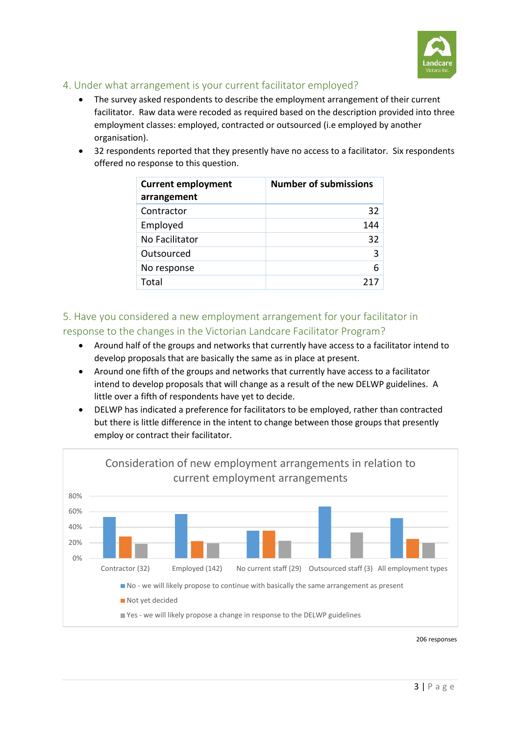

## 4. Under what arrangement is your current facilitator employed?

- The survey asked respondents to describe the employment arrangement of their current facilitator. Raw data were recoded as required based on the description provided into three employment classes: employed, contracted or outsourced (i.e employed by another organisation).
- 32 respondents reported that they presently have no access to a facilitator. Six respondents offered no response to this question.

| <b>Current employment</b><br>arrangement | <b>Number of submissions</b> |
|------------------------------------------|------------------------------|
| Contractor                               | 32                           |
| Employed                                 | 144                          |
| No Facilitator                           | 32                           |
| Outsourced                               | 3                            |
| No response                              | 6                            |
| Total                                    |                              |

5. Have you considered a new employment arrangement for your facilitator in response to the changes in the Victorian Landcare Facilitator Program?

- Around half of the groups and networks that currently have access to a facilitator intend to develop proposals that are basically the same as in place at present.
- Around one fifth of the groups and networks that currently have access to a facilitator intend to develop proposals that will change as a result of the new DELWP guidelines. A little over a fifth of respondents have yet to decide.
- DELWP has indicated a preference for facilitators to be employed, rather than contracted but there is little difference in the intent to change between those groups that presently employ or contract their facilitator.

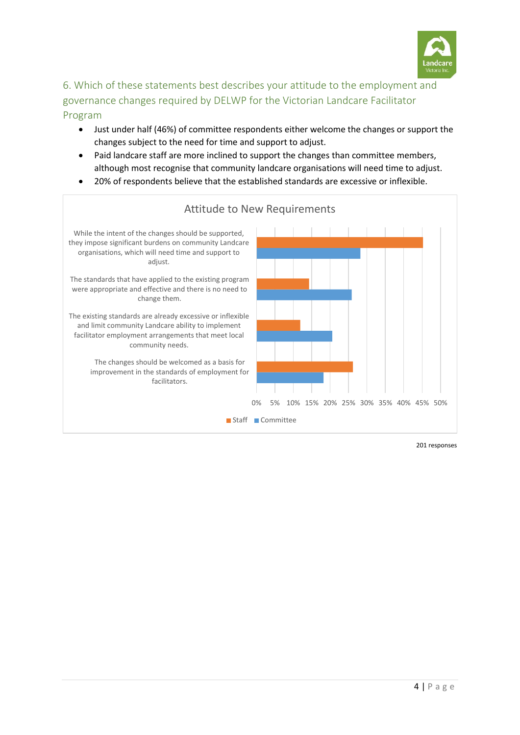

# 6. Which of these statements best describes your attitude to the employment and governance changes required by DELWP for the Victorian Landcare Facilitator Program

- Just under half (46%) of committee respondents either welcome the changes or support the changes subject to the need for time and support to adjust.
- Paid landcare staff are more inclined to support the changes than committee members, although most recognise that community landcare organisations will need time to adjust.
- 20% of respondents believe that the established standards are excessive or inflexible.

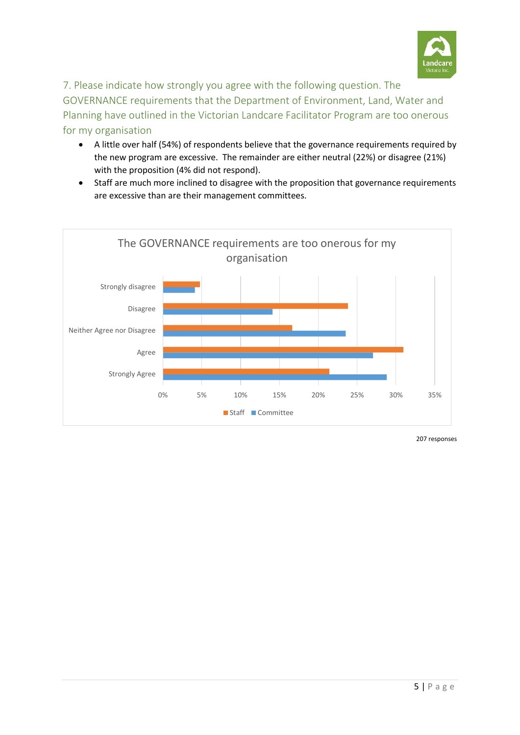

7. Please indicate how strongly you agree with the following question. The GOVERNANCE requirements that the Department of Environment, Land, Water and Planning have outlined in the Victorian Landcare Facilitator Program are too onerous for my organisation

- A little over half (54%) of respondents believe that the governance requirements required by the new program are excessive. The remainder are either neutral (22%) or disagree (21%) with the proposition (4% did not respond).
- Staff are much more inclined to disagree with the proposition that governance requirements are excessive than are their management committees.

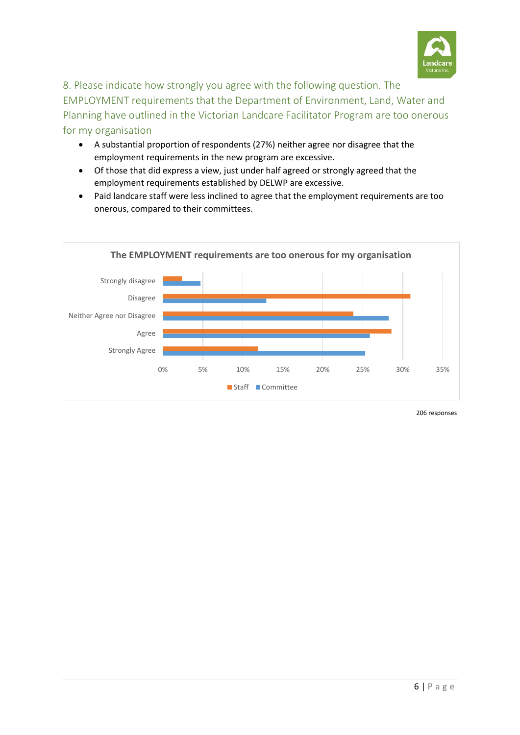

8. Please indicate how strongly you agree with the following question. The EMPLOYMENT requirements that the Department of Environment, Land, Water and Planning have outlined in the Victorian Landcare Facilitator Program are too onerous for my organisation

- A substantial proportion of respondents (27%) neither agree nor disagree that the employment requirements in the new program are excessive.
- Of those that did express a view, just under half agreed or strongly agreed that the employment requirements established by DELWP are excessive.
- Paid landcare staff were less inclined to agree that the employment requirements are too onerous, compared to their committees.

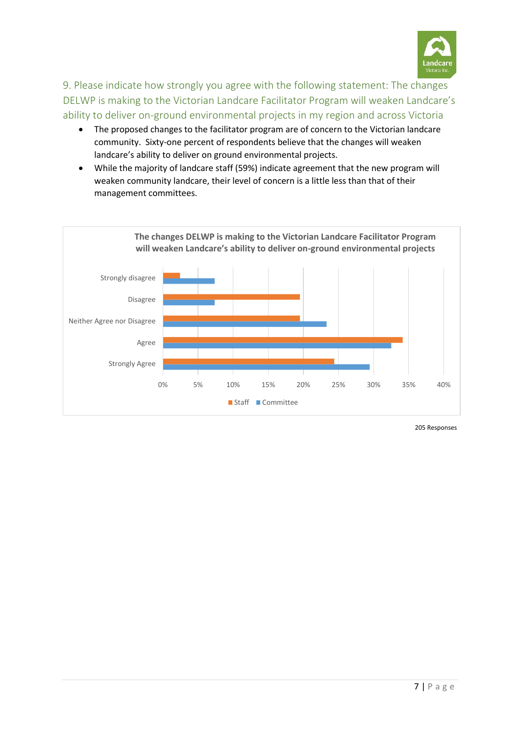

9. Please indicate how strongly you agree with the following statement: The changes DELWP is making to the Victorian Landcare Facilitator Program will weaken Landcare's ability to deliver on-ground environmental projects in my region and across Victoria

- The proposed changes to the facilitator program are of concern to the Victorian landcare community. Sixty-one percent of respondents believe that the changes will weaken landcare's ability to deliver on ground environmental projects.
- While the majority of landcare staff (59%) indicate agreement that the new program will weaken community landcare, their level of concern is a little less than that of their management committees.



205 Responses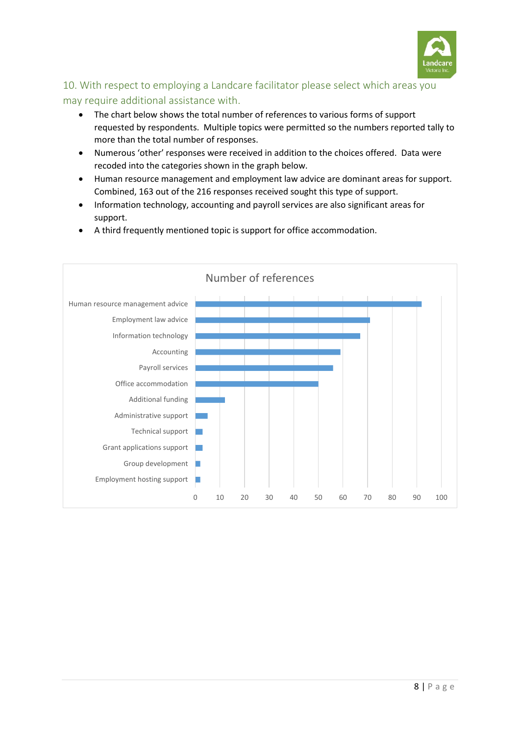

# 10. With respect to employing a Landcare facilitator please select which areas you may require additional assistance with.

- The chart below shows the total number of references to various forms of support requested by respondents. Multiple topics were permitted so the numbers reported tally to more than the total number of responses.
- Numerous 'other' responses were received in addition to the choices offered. Data were recoded into the categories shown in the graph below.
- Human resource management and employment law advice are dominant areas for support. Combined, 163 out of the 216 responses received sought this type of support.
- Information technology, accounting and payroll services are also significant areas for support.
- A third frequently mentioned topic is support for office accommodation.

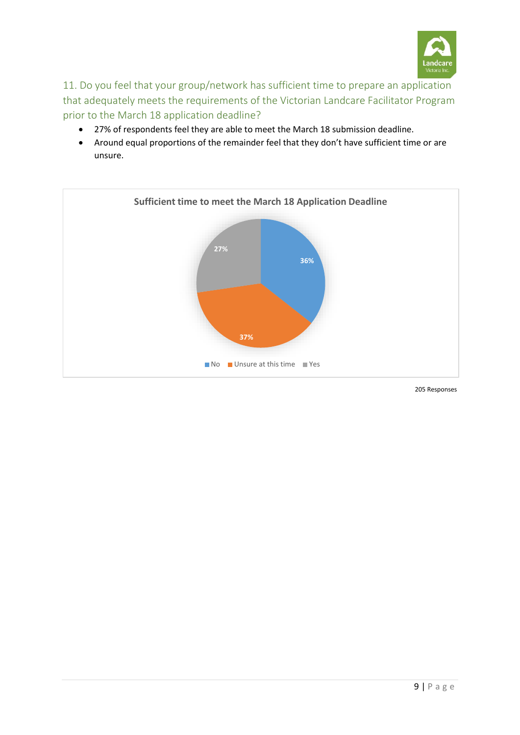

11. Do you feel that your group/network has sufficient time to prepare an application that adequately meets the requirements of the Victorian Landcare Facilitator Program prior to the March 18 application deadline?

- 27% of respondents feel they are able to meet the March 18 submission deadline.
- Around equal proportions of the remainder feel that they don't have sufficient time or are unsure.



205 Responses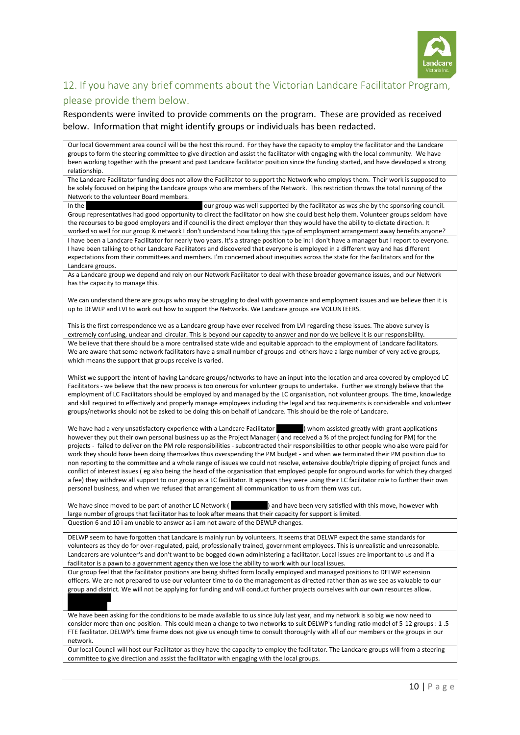

## 12. If you have any brief comments about the Victorian Landcare Facilitator Program, please provide them below.

Respondents were invited to provide comments on the program. These are provided as received below. Information that might identify groups or individuals has been redacted.

Our local Government area council will be the host this round. For they have the capacity to employ the facilitator and the Landcare groups to form the steering committee to give direction and assist the facilitator with engaging with the local community. We have been working together with the present and past Landcare facilitator position since the funding started, and have developed a strong relationship.

The Landcare Facilitator funding does not allow the Facilitator to support the Network who employs them. Their work is supposed to be solely focused on helping the Landcare groups who are members of the Network. This restriction throws the total running of the Network to the volunteer Board members.

In the  $\blacksquare$  our group was well supported by the facilitator as was she by the sponsoring council. Group representatives had good opportunity to direct the facilitator on how she could best help them. Volunteer groups seldom have the recourses to be good employers and if council is the direct employer then they would have the ability to dictate direction. It worked so well for our group & network I don't understand how taking this type of employment arrangement away benefits anyone?

I have been a Landcare Facilitator for nearly two years. It's a strange position to be in: I don't have a manager but I report to everyone. I have been talking to other Landcare Facilitators and discovered that everyone is employed in a different way and has different expectations from their committees and members. I'm concerned about inequities across the state for the facilitators and for the Landcare groups.

As a Landcare group we depend and rely on our Network Facilitator to deal with these broader governance issues, and our Network has the capacity to manage this.

We can understand there are groups who may be struggling to deal with governance and employment issues and we believe then it is up to DEWLP and LVI to work out how to support the Networks. We Landcare groups are VOLUNTEERS.

This is the first correspondence we as a Landcare group have ever received from LVI regarding these issues. The above survey is extremely confusing, unclear and circular. This is beyond our capacity to answer and nor do we believe it is our responsibility. We believe that there should be a more centralised state wide and equitable approach to the employment of Landcare facilitators. We are aware that some network facilitators have a small number of groups and others have a large number of very active groups, which means the support that groups receive is varied.

Whilst we support the intent of having Landcare groups/networks to have an input into the location and area covered by employed LC Facilitators - we believe that the new process is too onerous for volunteer groups to undertake. Further we strongly believe that the employment of LC Facilitators should be employed by and managed by the LC organisation, not volunteer groups. The time, knowledge and skill required to effectively and properly manage employees including the legal and tax requirements is considerable and volunteer groups/networks should not be asked to be doing this on behalf of Landcare. This should be the role of Landcare.

We have had a very unsatisfactory experience with a Landcare Facilitator ( ) whom assisted greatly with grant applications however they put their own personal business up as the Project Manager ( and received a % of the project funding for PM) for the projects - failed to deliver on the PM role responsibilities - subcontracted their responsibilities to other people who also were paid for work they should have been doing themselves thus overspending the PM budget - and when we terminated their PM position due to non reporting to the committee and a whole range of issues we could not resolve, extensive double/triple dipping of project funds and conflict of interest issues ( eg also being the head of the organisation that employed people for onground works for which they charged a fee) they withdrew all support to our group as a LC facilitator. It appears they were using their LC facilitator role to further their own personal business, and when we refused that arrangement all communication to us from them was cut.

We have since moved to be part of another LC Network ( ) and have been very satisfied with this move, however with large number of groups that facilitator has to look after means that their capacity for support is limited. Question 6 and 10 i am unable to answer as i am not aware of the DEWLP changes.

DELWP seem to have forgotten that Landcare is mainly run by volunteers. It seems that DELWP expect the same standards for volunteers as they do for over-regulated, paid, professionally trained, government employees. This is unrealistic and unreasonable. Landcarers are volunteer's and don't want to be bogged down administering a facilitator. Local issues are important to us and if a facilitator is a pawn to a government agency then we lose the ability to work with our local issues.

Our group feel that the facilitator positions are being shifted form locally employed and managed positions to DELWP extension officers. We are not prepared to use our volunteer time to do the management as directed rather than as we see as valuable to our group and district. We will not be applying for funding and will conduct further projects ourselves with our own resources allow. Ross McDonald

We have been asking for the conditions to be made available to us since July last year, and my network is so big we now need to consider more than one position. This could mean a change to two networks to suit DELWP's funding ratio model of 5-12 groups : 1 .5 FTE facilitator. DELWP's time frame does not give us enough time to consult thoroughly with all of our members or the groups in our network.

Our local Council will host our Facilitator as they have the capacity to employ the facilitator. The Landcare groups will from a steering committee to give direction and assist the facilitator with engaging with the local groups.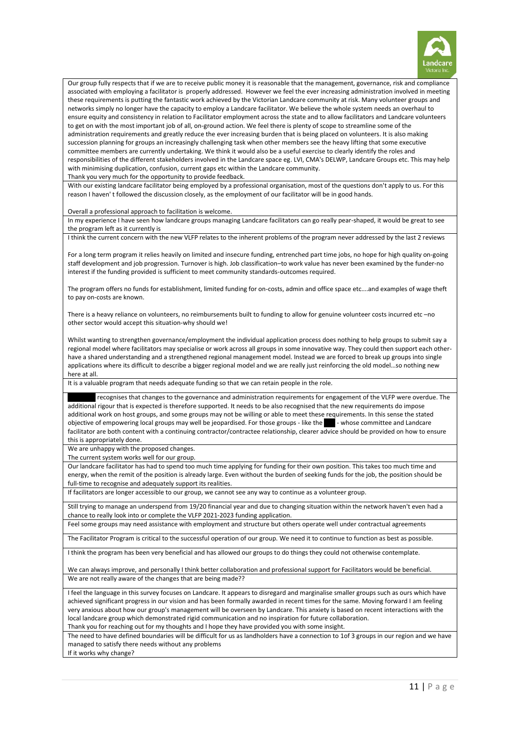

Our group fully respects that if we are to receive public money it is reasonable that the management, governance, risk and compliance associated with employing a facilitator is properly addressed. However we feel the ever increasing administration involved in meeting these requirements is putting the fantastic work achieved by the Victorian Landcare community at risk. Many volunteer groups and networks simply no longer have the capacity to employ a Landcare facilitator. We believe the whole system needs an overhaul to ensure equity and consistency in relation to Facilitator employment across the state and to allow facilitators and Landcare volunteers to get on with the most important job of all, on-ground action. We feel there is plenty of scope to streamline some of the administration requirements and greatly reduce the ever increasing burden that is being placed on volunteers. It is also making succession planning for groups an increasingly challenging task when other members see the heavy lifting that some executive committee members are currently undertaking. We think it would also be a useful exercise to clearly identify the roles and responsibilities of the different stakeholders involved in the Landcare space eg. LVI, CMA's DELWP, Landcare Groups etc. This may help with minimising duplication, confusion, current gaps etc within the Landcare community.

Thank you very much for the opportunity to provide feedback.

With our existing landcare facilitator being employed by a professional organisation, most of the questions don't apply to us. For this reason I haven' t followed the discussion closely, as the employment of our facilitator will be in good hands.

Overall a professional approach to facilitation is welcome.

In my experience I have seen how landcare groups managing Landcare facilitators can go really pear-shaped, it would be great to see the program left as it currently is

I think the current concern with the new VLFP relates to the inherent problems of the program never addressed by the last 2 reviews

For a long term program it relies heavily on limited and insecure funding, entrenched part time jobs, no hope for high quality on-going staff development and job progression. Turnover is high. Job classification–to work value has never been examined by the funder-no interest if the funding provided is sufficient to meet community standards-outcomes required.

The program offers no funds for establishment, limited funding for on-costs, admin and office space etc….and examples of wage theft to pay on-costs are known.

There is a heavy reliance on volunteers, no reimbursements built to funding to allow for genuine volunteer costs incurred etc –no other sector would accept this situation-why should we!

Whilst wanting to strengthen governance/employment the individual application process does nothing to help groups to submit say a regional model where facilitators may specialise or work across all groups in some innovative way. They could then support each otherhave a shared understanding and a strengthened regional management model. Instead we are forced to break up groups into single applications where its difficult to describe a bigger regional model and we are really just reinforcing the old model…so nothing new here at all.

It is a valuable program that needs adequate funding so that we can retain people in the role.

recognises that changes to the governance and administration requirements for engagement of the VLFP were overdue. The additional rigour that is expected is therefore supported. It needs to be also recognised that the new requirements do impose additional work on host groups, and some groups may not be willing or able to meet these requirements. In this sense the stated objective of empowering local groups may well be jeopardised. For those groups - like the - whose committee and Landcare facilitator are both content with a continuing contractor/contractee relationship, clearer advice should be provided on how to ensure this is appropriately done.

We are unhappy with the proposed changes.

The current system works well for our group.

Our landcare facilitator has had to spend too much time applying for funding for their own position. This takes too much time and energy, when the remit of the position is already large. Even without the burden of seeking funds for the job, the position should be full-time to recognise and adequately support its realities.

If facilitators are longer accessible to our group, we cannot see any way to continue as a volunteer group.

Still trying to manage an underspend from 19/20 financial year and due to changing situation within the network haven't even had a chance to really look into or complete the VLFP 2021-2023 funding application.

Feel some groups may need assistance with employment and structure but others operate well under contractual agreements

The Facilitator Program is critical to the successful operation of our group. We need it to continue to function as best as possible.

I think the program has been very beneficial and has allowed our groups to do things they could not otherwise contemplate.

We can always improve, and personally I think better collaboration and professional support for Facilitators would be beneficial. We are not really aware of the changes that are being made??

I feel the language in this survey focuses on Landcare. It appears to disregard and marginalise smaller groups such as ours which have achieved significant progress in our vision and has been formally awarded in recent times for the same. Moving forward I am feeling very anxious about how our group's management will be overseen by Landcare. This anxiety is based on recent interactions with the local landcare group which demonstrated rigid communication and no inspiration for future collaboration.

Thank you for reaching out for my thoughts and I hope they have provided you with some insight.

The need to have defined boundaries will be difficult for us as landholders have a connection to 1of 3 groups in our region and we have managed to satisfy there needs without any problems If it works why change?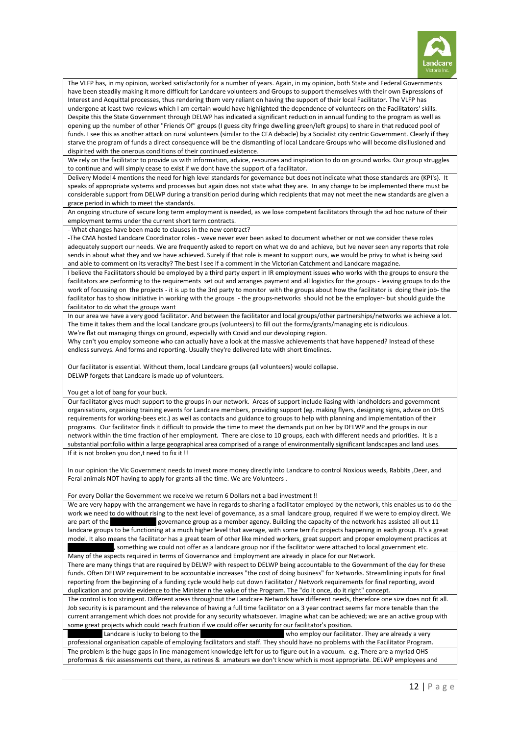

The VLFP has, in my opinion, worked satisfactorily for a number of years. Again, in my opinion, both State and Federal Governments have been steadily making it more difficult for Landcare volunteers and Groups to support themselves with their own Expressions of Interest and Acquittal processes, thus rendering them very reliant on having the support of their local Facilitator. The VLFP has undergone at least two reviews which I am certain would have highlighted the dependence of volunteers on the Facilitators' skills. Despite this the State Government through DELWP has indicated a significant reduction in annual funding to the program as well as opening up the number of other "Friends Of" groups (I guess city fringe dwelling green/left groups) to share in that reduced pool of funds. I see this as another attack on rural volunteers (similar to the CFA debacle) by a Socialist city centric Government. Clearly if they starve the program of funds a direct consequence will be the dismantling of local Landcare Groups who will become disillusioned and dispirited with the onerous conditions of their continued existence.

We rely on the facilitator to provide us with information, advice, resources and inspiration to do on ground works. Our group struggles to continue and will simply cease to exist if we dont have the support of a facilitator.

Delivery Model 4 mentions the need for high level standards for governance but does not indicate what those standards are (KPI's). It speaks of appropriate systems and processes but again does not state what they are. In any change to be implemented there must be considerable support from DELWP during a transition period during which recipients that may not meet the new standards are given a grace period in which to meet the standards.

An ongoing structure of secure long term employment is needed, as we lose competent facilitators through the ad hoc nature of their employment terms under the current short term contracts.

- What changes have been made to clauses in the new contract?

-The CMA hosted Landcare Coordinator roles - weve never ever been asked to document whether or not we consider these roles adequately support our needs. We are frequently asked to report on what we do and achieve, but Ive never seen any reports that role sends in about what they and we have achieved. Surely if that role is meant to support ours, we would be privy to what is being said and able to comment on its veracity? The best I see if a comment in the Victorian Catchment and Landcare magazine.

I believe the Facilitators should be employed by a third party expert in IR employment issues who works with the groups to ensure the facilitators are performing to the requirements set out and arranges payment and all logistics for the groups - leaving groups to do the work of focussing on the projects - it is up to the 3rd party to monitor with the groups about how the facilitator is doing their job- the facilitator has to show initiative in working with the groups - the groups-networks should not be the employer- but should guide the facilitator to do what the groups want

In our area we have a very good facilitator. And between the facilitator and local groups/other partnerships/networks we achieve a lot. The time it takes them and the local Landcare groups (volunteers) to fill out the forms/grants/managing etc is ridiculous. We're flat out managing things on ground, especially with Covid and our devoloping region.

Why can't you employ someone who can actually have a look at the massive achievements that have happened? Instead of these endless surveys. And forms and reporting. Usually they're delivered late with short timelines.

Our facilitator is essential. Without them, local Landcare groups (all volunteers) would collapse. DELWP forgets that Landcare is made up of volunteers.

#### You get a lot of bang for your buck.

Our facilitator gives much support to the groups in our network. Areas of support include liasing with landholders and government organisations, organising training events for Landcare members, providing support (eg. making flyers, designing signs, advice on OHS requirements for working-bees etc.) as well as contacts and guidance to groups to help with planning and implementation of their programs. Our facilitator finds it difficult to provide the time to meet the demands put on her by DELWP and the groups in our network within the time fraction of her employment. There are close to 10 groups, each with different needs and priorities. It is a substantial portfolio within a large geographical area comprised of a range of environmentally significant landscapes and land uses. If it is not broken you don, t need to fix it !!

In our opinion the Vic Government needs to invest more money directly into Landcare to control Noxious weeds, Rabbits ,Deer, and Feral animals NOT having to apply for grants all the time. We are Volunteers .

#### For every Dollar the Government we receive we return 6 Dollars not a bad investment !!

We are very happy with the arrangement we have in regards to sharing a facilitator employed by the network, this enables us to do the work we need to do without rising to the next level of governance, as a small landcare group, required if we were to employ direct. We are part of the provernance group as a member agency. Building the capacity of the network has assisted all out 11 landcare groups to be functioning at a much higher level that average, with some terrific projects happening in each group. It's a great model. It also means the facilitator has a great team of other like minded workers, great support and proper employment practices at something we could not offer as a landcare group nor if the facilitator were attached to local government etc.

Many of the aspects required in terms of Governance and Employment are already in place for our Network.

There are many things that are required by DELWP with respect to DELWP being accountable to the Government of the day for these funds. Often DELWP requirement to be accountable increases "the cost of doing business" for Networks. Streamlining inputs for final reporting from the beginning of a funding cycle would help cut down Facilitator / Network requirements for final reporting, avoid duplication and provide evidence to the Minister n the value of the Program. The "do it once, do it right" concept.

The control is too stringent. Different areas throughout the Landcare Network have different needs, therefore one size does not fit all. Job security is is paramount and the relevance of having a full time facilitator on a 3 year contract seems far more tenable than the current arrangement which does not provide for any security whatsoever. Imagine what can be achieved; we are an active group with some great projects which could reach fruition if we could offer security for our facilitator's position.

Landcare is lucky to belong to the Bass Coast Landcare I who employ our facilitator. They are already a very professional organisation capable of employing facilitators and staff. They should have no problems with the Facilitator Program. The problem is the huge gaps in line management knowledge left for us to figure out in a vacuum. e.g. There are a myriad OHS proformas & risk assessments out there, as retirees & amateurs we don't know which is most appropriate. DELWP employees and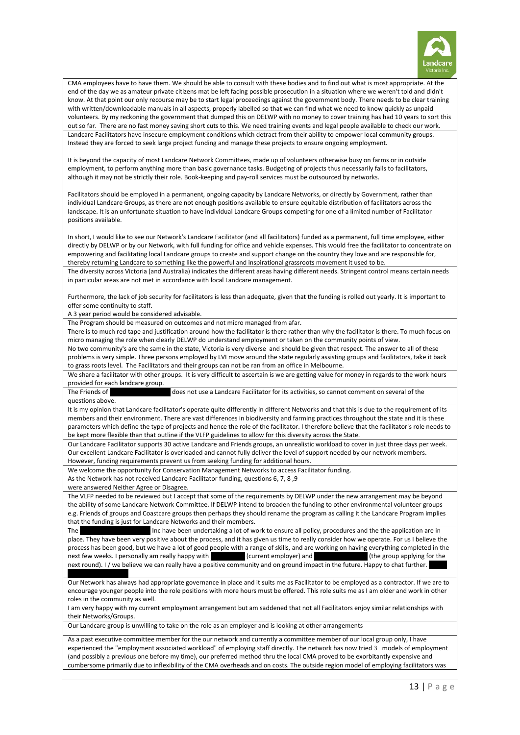

CMA employees have to have them. We should be able to consult with these bodies and to find out what is most appropriate. At the end of the day we as amateur private citizens mat be left facing possible prosecution in a situation where we weren't told and didn't know. At that point our only recourse may be to start legal proceedings against the government body. There needs to be clear training with written/downloadable manuals in all aspects, properly labelled so that we can find what we need to know quickly as unpaid volunteers. By my reckoning the government that dumped this on DELWP with no money to cover training has had 10 years to sort this out so far. There are no fast money saving short cuts to this. We need training events and legal people available to check our work. Landcare Facilitators have insecure employment conditions which detract from their ability to empower local community groups. Instead they are forced to seek large project funding and manage these projects to ensure ongoing employment.

It is beyond the capacity of most Landcare Network Committees, made up of volunteers otherwise busy on farms or in outside employment, to perform anything more than basic governance tasks. Budgeting of projects thus necessarily falls to facilitators, although it may not be strictly their role. Book-keeping and pay-roll services must be outsourced by networks.

Facilitators should be employed in a permanent, ongoing capacity by Landcare Networks, or directly by Government, rather than individual Landcare Groups, as there are not enough positions available to ensure equitable distribution of facilitators across the landscape. It is an unfortunate situation to have individual Landcare Groups competing for one of a limited number of Facilitator positions available.

In short, I would like to see our Network's Landcare Facilitator (and all facilitators) funded as a permanent, full time employee, either directly by DELWP or by our Network, with full funding for office and vehicle expenses. This would free the facilitator to concentrate on empowering and facilitating local Landcare groups to create and support change on the country they love and are responsible for, thereby returning Landcare to something like the powerful and inspirational grassroots movement it used to be.

The diversity across Victoria (and Australia) indicates the different areas having different needs. Stringent control means certain needs in particular areas are not met in accordance with local Landcare management.

Furthermore, the lack of job security for facilitators is less than adequate, given that the funding is rolled out yearly. It is important to offer some continuity to staff.

A 3 year period would be considered advisable.

The Program should be measured on outcomes and not micro managed from afar.

There is to much red tape and justification around how the facilitator is there rather than why the facilitator is there. To much focus on micro managing the role when clearly DELWP do understand employment or taken on the community points of view.

No two community's are the same in the state, Victoria is very diverse and should be given that respect. The answer to all of these problems is very simple. Three persons employed by LVI move around the state regularly assisting groups and facilitators, take it back to grass roots level. The Facilitators and their groups can not be ran from an office in Melbourne.

We share a facilitator with other groups. It is very difficult to ascertain is we are getting value for money in regards to the work hours provided for each landcare group.

The Friends of Thomas does not use a Landcare Facilitator for its activities, so cannot comment on several of the questions above.

It is my opinion that Landcare facilitator's operate quite differently in different Networks and that this is due to the requirement of its members and their environment. There are vast differences in biodiversity and farming practices throughout the state and it is these parameters which define the type of projects and hence the role of the facilitator. I therefore believe that the facilitator's role needs to be kept more flexible than that outline if the VLFP guidelines to allow for this diversity across the State.

Our Landcare Facilitator supports 30 active Landcare and Friends groups, an unrealistic workload to cover in just three days per week. Our excellent Landcare Facilitator is overloaded and cannot fully deliver the level of support needed by our network members. However, funding requirements prevent us from seeking funding for additional hours.

We welcome the opportunity for Conservation Management Networks to access Facilitator funding.

As the Network has not received Landcare Facilitator funding, questions 6, 7, 8 ,9

were answered Neither Agree or Disagree.

The VLFP needed to be reviewed but I accept that some of the requirements by DELWP under the new arrangement may be beyond the ability of some Landcare Network Committee. If DELWP intend to broaden the funding to other environmental volunteer groups e.g. Friends of groups and Coastcare groups then perhaps they should rename the program as calling it the Landcare Program implies that the funding is just for Landcare Networks and their members.

The Mitta 2 Murray Landcare Inc have been undertaking a lot of work to ensure all policy, procedures and the the application are in place. They have been very positive about the process, and it has given us time to really consider how we operate. For us I believe the process has been good, but we have a lot of good people with a range of skills, and are working on having everything completed in the next few weeks. I personally am really happy with (current employer) and **Mitta 2 Murray Inc (the group applying for the** next round). I / we believe we can really have a positive community and on ground impact in the future. Happy to chat further.

Our Network has always had appropriate governance in place and it suits me as Facilitator to be employed as a contractor. If we are to encourage younger people into the role positions with more hours must be offered. This role suits me as I am older and work in other roles in the community as well.

I am very happy with my current employment arrangement but am saddened that not all Facilitators enjoy similar relationships with their Networks/Groups.

Our Landcare group is unwilling to take on the role as an employer and is looking at other arrangements

As a past executive committee member for the our network and currently a committee member of our local group only, I have experienced the "employment associated workload" of employing staff directly. The network has now tried 3 models of employment (and possibly a previous one before my time), our preferred method thru the local CMA proved to be exorbitantly expensive and cumbersome primarily due to inflexibility of the CMA overheads and on costs. The outside region model of employing facilitators was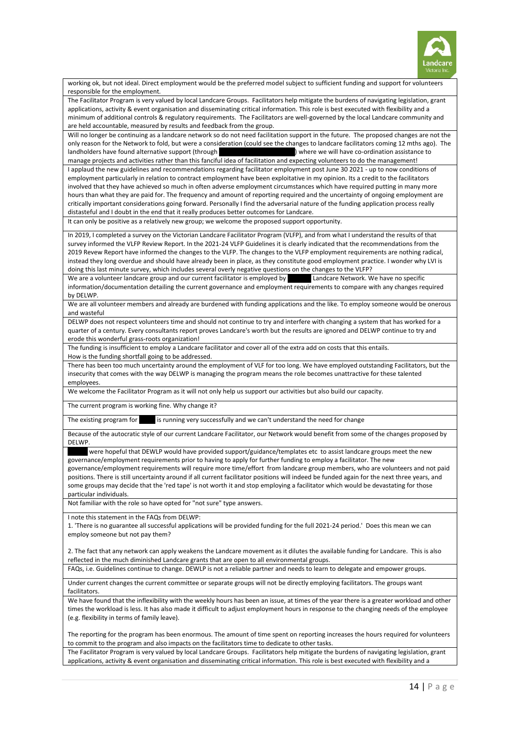

working ok, but not ideal. Direct employment would be the preferred model subject to sufficient funding and support for volunteers responsible for the employment.

The Facilitator Program is very valued by local Landcare Groups. Facilitators help mitigate the burdens of navigating legislation, grant applications, activity & event organisation and disseminating critical information. This role is best executed with flexibility and a minimum of additional controls & regulatory requirements. The Facilitators are well-governed by the local Landcare community and are held accountable, measured by results and feedback from the group.

Will no longer be continuing as a landcare network so do not need facilitation support in the future. The proposed changes are not the only reason for the Network to fold, but were a consideration (could see the changes to landcare facilitators coming 12 mths ago). The landholders have found alternative support (through Southern Farming Systems) where we will have co-ordination assistance to manage projects and activities rather than this fanciful idea of facilitation and expecting volunteers to do the management!

I applaud the new guidelines and recommendations regarding facilitator employment post June 30 2021 - up to now conditions of employment particularly in relation to contract employment have been exploitative in my opinion. Its a credit to the facilitators involved that they have achieved so much in often adverse employment circumstances which have required putting in many more hours than what they are paid for. The frequency and amount of reporting required and the uncertainty of ongoing employment are critically important considerations going forward. Personally I find the adversarial nature of the funding application process really distasteful and I doubt in the end that it really produces better outcomes for Landcare.

It can only be positive as a relatively new group; we welcome the proposed support opportunity.

In 2019, I completed a survey on the Victorian Landcare Facilitator Program (VLFP), and from what I understand the results of that survey informed the VLFP Review Report. In the 2021-24 VLFP Guidelines it is clearly indicated that the recommendations from the 2019 Revew Report have informed the changes to the VLFP. The changes to the VLFP employment requirements are nothing radical, instead they long overdue and should have already been in place, as they constitute good employment practice. I wonder why LVI is doing this last minute survey, which includes several overly negative questions on the changes to the VLFP?

We are a volunteer landcare group and our current facilitator is employed by  $\Box$  Landcare Network. We have no specific information/documentation detailing the current governance and employment requirements to compare with any changes required by DELWP.

We are all volunteer members and already are burdened with funding applications and the like. To employ someone would be onerous and wasteful

DELWP does not respect volunteers time and should not continue to try and interfere with changing a system that has worked for a quarter of a century. Every consultants report proves Landcare's worth but the results are ignored and DELWP continue to try and erode this wonderful grass-roots organization!

The funding is insufficient to employ a Landcare facilitator and cover all of the extra add on costs that this entails. How is the funding shortfall going to be addressed.

There has been too much uncertainty around the employment of VLF for too long. We have employed outstanding Facilitators, but the insecurity that comes with the way DELWP is managing the program means the role becomes unattractive for these talented employees.

We welcome the Facilitator Program as it will not only help us support our activities but also build our capacity.

The current program is working fine. Why change it?

The existing program for is running very successfully and we can't understand the need for change

Because of the autocratic style of our current Landcare Facilitator, our Network would benefit from some of the changes proposed by DELWP.

were hopeful that DEWLP would have provided support/guidance/templates etc to assist landcare groups meet the new governance/employment requirements prior to having to apply for further funding to employ a facilitator. The new governance/employment requirements will require more time/effort from landcare group members, who are volunteers and not paid positions. There is still uncertainty around if all current facilitator positions will indeed be funded again for the next three years, and some groups may decide that the 'red tape' is not worth it and stop employing a facilitator which would be devastating for those particular individuals.

Not familiar with the role so have opted for "not sure" type answers.

I note this statement in the FAQs from DELWP:

1. 'There is no guarantee all successful applications will be provided funding for the full 2021-24 period.' Does this mean we can employ someone but not pay them?

2. The fact that any network can apply weakens the Landcare movement as it dilutes the available funding for Landcare. This is also reflected in the much diminished Landcare grants that are open to all environmental groups.

FAQs, i.e. Guidelines continue to change. DEWLP is not a reliable partner and needs to learn to delegate and empower groups.

Under current changes the current committee or separate groups will not be directly employing facilitators. The groups want facilitators.

We have found that the inflexibility with the weekly hours has been an issue, at times of the year there is a greater workload and other times the workload is less. It has also made it difficult to adjust employment hours in response to the changing needs of the employee (e.g. flexibility in terms of family leave).

The reporting for the program has been enormous. The amount of time spent on reporting increases the hours required for volunteers to commit to the program and also impacts on the facilitators time to dedicate to other tasks.

The Facilitator Program is very valued by local Landcare Groups. Facilitators help mitigate the burdens of navigating legislation, grant applications, activity & event organisation and disseminating critical information. This role is best executed with flexibility and a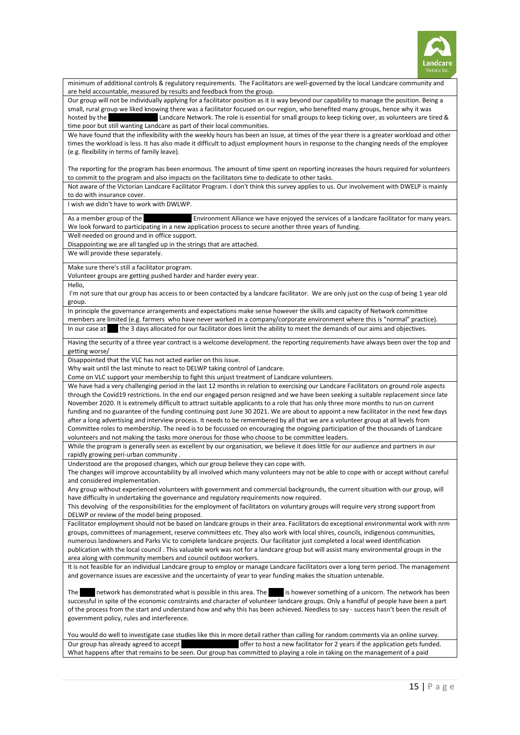

| minimum of additional controls & regulatory requirements. The Facilitators are well-governed by the local Landcare community and<br>are held accountable, measured by results and feedback from the group.                                                           |  |  |
|----------------------------------------------------------------------------------------------------------------------------------------------------------------------------------------------------------------------------------------------------------------------|--|--|
| Our group will not be individually applying for a facilitator position as it is way beyond our capability to manage the position. Being a                                                                                                                            |  |  |
| small, rural group we liked knowing there was a facilitator focused on our region, who benefited many groups, hence why it was                                                                                                                                       |  |  |
| Landcare Network. The role is essential for small groups to keep ticking over, as volunteers are tired &<br>hosted by the                                                                                                                                            |  |  |
| time poor but still wanting Landcare as part of their local communities.<br>We have found that the inflexibility with the weekly hours has been an issue, at times of the year there is a greater workload and other                                                 |  |  |
| times the workload is less. It has also made it difficult to adjust employment hours in response to the changing needs of the employee                                                                                                                               |  |  |
| (e.g. flexibility in terms of family leave).                                                                                                                                                                                                                         |  |  |
|                                                                                                                                                                                                                                                                      |  |  |
| The reporting for the program has been enormous. The amount of time spent on reporting increases the hours required for volunteers                                                                                                                                   |  |  |
| to commit to the program and also impacts on the facilitators time to dedicate to other tasks.<br>Not aware of the Victorian Landcare Facilitator Program. I don't think this survey applies to us. Our involvement with DWELP is mainly                             |  |  |
| to do with insurance cover.                                                                                                                                                                                                                                          |  |  |
| I wish we didn't have to work with DWLWP.                                                                                                                                                                                                                            |  |  |
| Environment Alliance we have enjoyed the services of a landcare facilitator for many years.<br>As a member group of the                                                                                                                                              |  |  |
| We look forward to participating in a new application process to secure another three years of funding.                                                                                                                                                              |  |  |
| Well needed on ground and in office support.                                                                                                                                                                                                                         |  |  |
| Disappointing we are all tangled up in the strings that are attached.                                                                                                                                                                                                |  |  |
| We will provide these separately.                                                                                                                                                                                                                                    |  |  |
| Make sure there's still a facilitator program.<br>Volunteer groups are getting pushed harder and harder every year.                                                                                                                                                  |  |  |
| Hello,                                                                                                                                                                                                                                                               |  |  |
| I'm not sure that our group has access to or been contacted by a landcare facilitator. We are only just on the cusp of being 1 year old<br>group.                                                                                                                    |  |  |
| In principle the governance arrangements and expectations make sense however the skills and capacity of Network committee                                                                                                                                            |  |  |
| members are limited (e.g. farmers who have never worked in a company/corporate environment where this is "normal" practice).                                                                                                                                         |  |  |
| the 3 days allocated for our facilitator does limit the ability to meet the demands of our aims and objectives.<br>In our case at                                                                                                                                    |  |  |
| Having the security of a three year contract is a welcome development. the reporting requirements have always been over the top and<br>getting worse/                                                                                                                |  |  |
| Disappointed that the VLC has not acted earlier on this issue.                                                                                                                                                                                                       |  |  |
| Why wait until the last minute to react to DELWP taking control of Landcare.<br>Come on VLC support your membership to fight this unjust treatment of Landcare volunteers.                                                                                           |  |  |
| We have had a very challenging period in the last 12 months in relation to exercising our Landcare Facilitators on ground role aspects                                                                                                                               |  |  |
| through the Covid19 restrictions. In the end our engaged person resigned and we have been seeking a suitable replacement since late                                                                                                                                  |  |  |
| November 2020. It is extremely difficult to attract suitable applicants to a role that has only three more months to run on current                                                                                                                                  |  |  |
| funding and no guarantee of the funding continuing past June 30 2021. We are about to appoint a new facilitator in the next few days                                                                                                                                 |  |  |
| after a long advertising and interview process. It needs to be remembered by all that we are a volunteer group at all levels from<br>Committee roles to membership. The need is to be focussed on encouraging the ongoing participation of the thousands of Landcare |  |  |
| volunteers and not making the tasks more onerous for those who choose to be committee leaders.                                                                                                                                                                       |  |  |
| While the program is generally seen as excellent by our organisation, we believe it does little for our audience and partners in our                                                                                                                                 |  |  |
| rapidly growing peri-urban community.                                                                                                                                                                                                                                |  |  |
| Understood are the proposed changes, which our group believe they can cope with.                                                                                                                                                                                     |  |  |
| The changes will improve accountability by all involved which many volunteers may not be able to cope with or accept without careful<br>and considered implementation.                                                                                               |  |  |
| Any group without experienced volunteers with government and commercial backgrounds, the current situation with our group, will                                                                                                                                      |  |  |
| have difficulty in undertaking the governance and regulatory requirements now required.                                                                                                                                                                              |  |  |
| This devolving of the responsibilities for the employment of facilitators on voluntary groups will require very strong support from                                                                                                                                  |  |  |
| DELWP or review of the model being proposed.<br>Facilitator employment should not be based on landcare groups in their area. Facilitators do exceptional environmental work with nrm                                                                                 |  |  |
| groups, committees of management, reserve committees etc. They also work with local shires, councils, indigenous communities,                                                                                                                                        |  |  |
| numerous landowners and Parks Vic to complete landcare projects. Our facilitator just completed a local weed identification                                                                                                                                          |  |  |
| publication with the local council. This valuable work was not for a landcare group but will assist many environmental groups in the                                                                                                                                 |  |  |
| area along with community members and council outdoor workers.                                                                                                                                                                                                       |  |  |
| It is not feasible for an individual Landcare group to employ or manage Landcare facilitators over a long term period. The management<br>and governance issues are excessive and the uncertainty of year to year funding makes the situation untenable.              |  |  |
| network has demonstrated what is possible in this area. The is however something of a unicorn. The network has been<br>The                                                                                                                                           |  |  |
| successful in spite of the economic constraints and character of volunteer landcare groups. Only a handful of people have been a part                                                                                                                                |  |  |
| of the process from the start and understand how and why this has been achieved. Needless to say - success hasn't been the result of                                                                                                                                 |  |  |
| government policy, rules and interference.                                                                                                                                                                                                                           |  |  |
| You would do well to investigate case studies like this in more detail rather than calling for random comments via an online survey.                                                                                                                                 |  |  |
| offer to host a new facilitator for 2 years if the application gets funded.<br>Our group has already agreed to accept                                                                                                                                                |  |  |
| What happens after that remains to be seen. Our group has committed to playing a role in taking on the management of a paid                                                                                                                                          |  |  |
|                                                                                                                                                                                                                                                                      |  |  |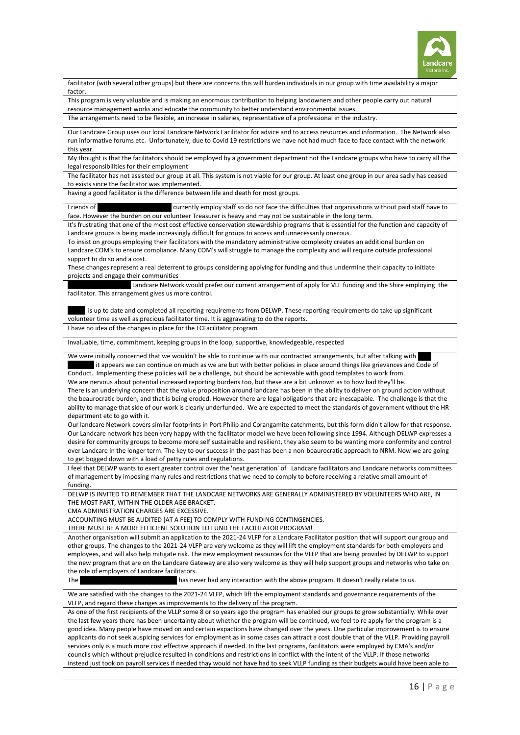

facilitator (with several other groups) but there are concerns this will burden individuals in our group with time availability a major factor

This program is very valuable and is making an enormous contribution to helping landowners and other people carry out natural resource management works and educate the community to better understand environmental issues.

The arrangements need to be flexible, an increase in salaries, representative of a professional in the industry.

Our Landcare Group uses our local Landcare Network Facilitator for advice and to access resources and information. The Network also run informative forums etc. Unfortunately, due to Covid 19 restrictions we have not had much face to face contact with the network this year.

My thought is that the facilitators should be employed by a government department not the Landcare groups who have to carry all the legal responsibilities for their employment

The facilitator has not assisted our group at all. This system is not viable for our group. At least one group in our area sadly has ceased to exists since the facilitator was implemented.

having a good facilitator is the difference between life and death for most groups.

Friends of the Helmeted Honey employ staff so do not face the difficulties that organisations without paid staff have to face. However the burden on our volunteer Treasurer is heavy and may not be sustainable in the long term.

It's frustrating that one of the most cost effective conservation stewardship programs that is essential for the function and capacity of Landcare groups is being made increasingly difficult for groups to access and unnecessarily onerous.

To insist on groups employing their facilitators with the mandatory administrative complexity creates an additional burden on Landcare COM's to ensure compliance. Many COM's will struggle to manage the complexity and will require outside professional support to do so and a cost.

These changes represent a real deterrent to groups considering applying for funding and thus undermine their capacity to initiate projects and engage their communities

Landcare Network would prefer our current arrangement of apply for VLF funding and the Shire employing the facilitator. This arrangement gives us more control.

is up to date and completed all reporting requirements from DELWP. These reporting requirements do take up significant volunteer time as well as precious facilitator time. It is aggravating to do the reports.

I have no idea of the changes in place for the LCFacilitator program

Invaluable, time, commitment, keeping groups in the loop, supportive, knowledgeable, respected

We were initially concerned that we wouldn't be able to continue with our contracted arrangements, but after talking with it appears we can continue on much as we are but with better policies in place around things like grievances and Code of Conduct. Implementing these policies will be a challenge, but should be achievable with good templates to work from.

We are nervous about potential increased reporting burdens too, but these are a bit unknown as to how bad they'll be.

There is an underlying concern that the value proposition around landcare has been in the ability to deliver on ground action without the beaurocratic burden, and that is being eroded. However there are legal obligations that are inescapable. The challenge is that the ability to manage that side of our work is clearly underfunded. We are expected to meet the standards of government without the HR department etc to go with it.

Our landcare Network covers similar footprints in Port Philip and Corangamite catchments, but this form didn't allow for that response. Our Landcare network has been very happy with the facilitator model we have been following since 1994. Although DELWP expresses a desire for community groups to become more self sustainable and resilient, they also seem to be wanting more conformity and control over Landcare in the longer term. The key to our success in the past has been a non-beaurocratic approach to NRM. Now we are going to get bogged down with a load of petty rules and regulations.

I feel that DELWP wants to exert greater control over the 'next generation' of Landcare facilitators and Landcare networks committees of management by imposing many rules and restrictions that we need to comply to before receiving a relative small amount of funding.

DELWP IS INVITED TO REMEMBER THAT THE LANDCARE NETWORKS ARE GENERALLY ADMINISTERED BY VOLUNTEERS WHO ARE, IN THE MOST PART, WITHIN THE OLDER AGE BRACKET.

CMA ADMINISTRATION CHARGES ARE EXCESSIVE.

ACCOUNTING MUST BE AUDITED [AT A FEE] TO COMPLY WITH FUNDING CONTINGENCIES.

THERE MUST BE A MORE EFFICIENT SOLUTION TO FUND THE FACILITATOR PROGRAM!

Another organisation will submit an application to the 2021-24 VLFP for a Landcare Facilitator position that will support our group and other groups. The changes to the 2021-24 VLFP are very welcome as they will lift the employment standards for both employers and employees, and will also help mitigate risk. The new employment resources for the VLFP that are being provided by DELWP to support the new program that are on the Landcare Gateway are also very welcome as they will help support groups and networks who take on the role of employers of Landcare facilitators.

The Dunolla Community Community Community Community Community Community Community Community Community Community Community Community Community Community Community Community Community Community Community Community Community

We are satisfied with the changes to the 2021-24 VLFP, which lift the employment standards and governance requirements of the VLFP, and regard these changes as improvements to the delivery of the program.

As one of the first recipients of the VLLP some 8 or so years ago the program has enabled our groups to grow substantially. While over the last few years there has been uncertainty about whether the program will be continued, we feel to re apply for the program is a good idea. Many people have moved on and certain expactions have changed over the years. One particular improvement is to ensure applicants do not seek auspicing services for employment as in some cases can attract a cost double that of the VLLP. Providing payroll services only is a much more cost effective approach if needed. In the last programs, facilitators were employed by CMA's and/or councils which without prejudice resulted in conditions and restrictions in conflict with the intent of the VLLP. If those networks instead just took on payroll services if needed thay would not have had to seek VLLP funding as their budgets would have been able to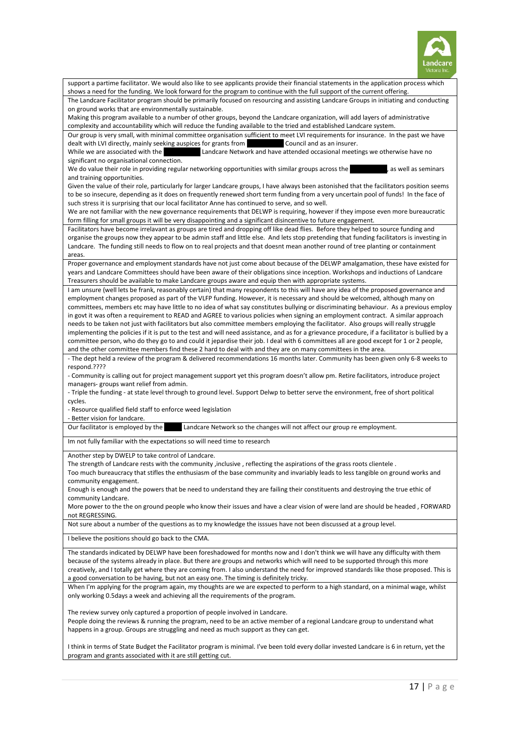

| support a partime facilitator. We would also like to see applicants provide their financial statements in the application process which                                                                                                                                  |
|--------------------------------------------------------------------------------------------------------------------------------------------------------------------------------------------------------------------------------------------------------------------------|
| shows a need for the funding. We look forward for the program to continue with the full support of the current offering.<br>The Landcare Facilitator program should be primarily focused on resourcing and assisting Landcare Groups in initiating and conducting        |
| on ground works that are environmentally sustainable.                                                                                                                                                                                                                    |
| Making this program available to a number of other groups, beyond the Landcare organization, will add layers of administrative                                                                                                                                           |
| complexity and accountability which will reduce the funding available to the tried and established Landcare system.                                                                                                                                                      |
| Our group is very small, with minimal committee organisation sufficient to meet LVI requirements for insurance. In the past we have<br>dealt with LVI directly, mainly seeking auspices for grants from<br>Council and as an insurer.                                    |
| While we are associated with the<br>Landcare Network and have attended occasional meetings we otherwise have no                                                                                                                                                          |
| significant no organisational connection.                                                                                                                                                                                                                                |
| We do value their role in providing regular networking opportunities with similar groups across the<br>as well as seminars                                                                                                                                               |
| and training opportunities.<br>Given the value of their role, particularly for larger Landcare groups, I have always been astonished that the facilitators position seems                                                                                                |
| to be so insecure, depending as it does on frequently renewed short term funding from a very uncertain pool of funds! In the face of                                                                                                                                     |
| such stress it is surprising that our local facilitator Anne has continued to serve, and so well.                                                                                                                                                                        |
| We are not familiar with the new governance requirements that DELWP is requiring, however if they impose even more bureaucratic                                                                                                                                          |
| form filling for small groups it will be very disappointing and a significant disincentive to future engagement.<br>Facilitators have become irrelavant as groups are tired and dropping off like dead flies. Before they helped to source funding and                   |
| organise the groups now they appear to be admin staff and little else. And lets stop pretending that funding facilitators is investing in                                                                                                                                |
| Landcare. The funding still needs to flow on to real projects and that doesnt mean another round of tree planting or containment                                                                                                                                         |
| areas.                                                                                                                                                                                                                                                                   |
| Proper governance and employment standards have not just come about because of the DELWP amalgamation, these have existed for                                                                                                                                            |
| years and Landcare Committees should have been aware of their obligations since inception. Workshops and inductions of Landcare<br>Treasurers should be available to make Landcare groups aware and equip then with appropriate systems.                                 |
| I am unsure (well lets be frank, reasonably certain) that many respondents to this will have any idea of the proposed governance and                                                                                                                                     |
| employment changes proposed as part of the VLFP funding. However, it is necessary and should be welcomed, although many on                                                                                                                                               |
| committees, members etc may have little to no idea of what say constitutes bullying or discriminating behaviour. As a previous employ                                                                                                                                    |
| in govt it was often a requirement to READ and AGREE to various policies when signing an employment contract. A similar approach<br>needs to be taken not just with facilitators but also committee members employing the facilitator. Also groups will really struggle  |
| implementing the policies if it is put to the test and will need assistance, and as for a grievance procedure, if a facilitator is bullied by a                                                                                                                          |
| committee person, who do they go to and could it jepardise their job. I deal with 6 committees all are good except for 1 or 2 people,                                                                                                                                    |
| and the other committee members find these 2 hard to deal with and they are on many committees in the area.                                                                                                                                                              |
| - The dept held a review of the program & delivered recommendations 16 months later. Community has been given only 6-8 weeks to<br>respond.????                                                                                                                          |
| - Community is calling out for project management support yet this program doesn't allow pm. Retire facilitators, introduce project                                                                                                                                      |
| managers- groups want relief from admin.                                                                                                                                                                                                                                 |
| - Triple the funding - at state level through to ground level. Support Delwp to better serve the environment, free of short political                                                                                                                                    |
| cycles.                                                                                                                                                                                                                                                                  |
| - Resource qualified field staff to enforce weed legislation<br>- Better vision for landcare.                                                                                                                                                                            |
| Landcare Network so the changes will not affect our group re employment.<br>Our facilitator is employed by the                                                                                                                                                           |
| Im not fully familiar with the expectations so will need time to research                                                                                                                                                                                                |
| Another step by DWELP to take control of Landcare.                                                                                                                                                                                                                       |
| The strength of Landcare rests with the community , inclusive, reflecting the aspirations of the grass roots clientele                                                                                                                                                   |
| Too much bureaucracy that stifles the enthusiasm of the base community and invariably leads to less tangible on ground works and                                                                                                                                         |
| community engagement.                                                                                                                                                                                                                                                    |
| Enough is enough and the powers that be need to understand they are failing their constituents and destroying the true ethic of<br>community Landcare.                                                                                                                   |
| More power to the the on ground people who know their issues and have a clear vision of were land are should be headed, FORWARD                                                                                                                                          |
| not REGRESSING.                                                                                                                                                                                                                                                          |
| Not sure about a number of the questions as to my knowledge the isssues have not been discussed at a group level.                                                                                                                                                        |
| I believe the positions should go back to the CMA.                                                                                                                                                                                                                       |
| The standards indicated by DELWP have been foreshadowed for months now and I don't think we will have any difficulty with them                                                                                                                                           |
| because of the systems already in place. But there are groups and networks which will need to be supported through this more<br>creatively, and I totally get where they are coming from. I also understand the need for improved standards like those proposed. This is |
| a good conversation to be having, but not an easy one. The timing is definitely tricky.                                                                                                                                                                                  |
| When I'm applying for the program again, my thoughts are we are expected to perform to a high standard, on a minimal wage, whilst                                                                                                                                        |
| only working 0.5days a week and achieving all the requirements of the program.                                                                                                                                                                                           |
| The review survey only captured a proportion of people involved in Landcare.                                                                                                                                                                                             |
| People doing the reviews & running the program, need to be an active member of a regional Landcare group to understand what                                                                                                                                              |
| happens in a group. Groups are struggling and need as much support as they can get.                                                                                                                                                                                      |
|                                                                                                                                                                                                                                                                          |
| I think in terms of State Budget the Facilitator program is minimal. I've been told every dollar invested Landcare is 6 in return, yet the<br>program and grants associated with it are still getting cut.                                                               |
|                                                                                                                                                                                                                                                                          |
|                                                                                                                                                                                                                                                                          |